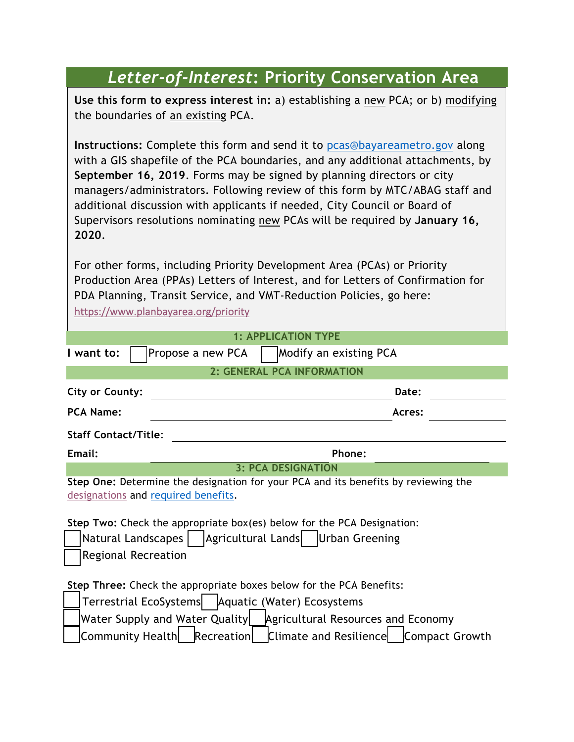## *Letter-of-Interest***: Priority Conservation Area**

**Use this form to express interest in:** a) establishing a new PCA; or b) modifying the boundaries of an existing PCA.

**Instructions:** Complete this form and send it to pcas@bayareametro.gov along with a GIS shapefile of the PCA boundaries, and any additional attachments, by **September 16, 2019**. Forms may be signed by planning directors or city managers/administrators. Following review of this form by MTC/ABAG staff and additional discussion with applicants if needed, City Council or Board of Supervisors resolutions nominating new PCAs will be required by **January 16, 2020**.

For other forms, including Priority Development Area (PCAs) or Priority Production Area (PPAs) Letters of Interest, and for Letters of Confirmation for PDA Planning, Transit Service, and VMT-Reduction Policies, go here: https://www.planbayarea.org/priority

|                                                                         | <b>1: APPLICATION TYPE</b>                                                         |  |
|-------------------------------------------------------------------------|------------------------------------------------------------------------------------|--|
| I want to:                                                              | Modify an existing PCA<br>Propose a new PCA                                        |  |
|                                                                         | 2: GENERAL PCA INFORMATION                                                         |  |
| <b>City or County:</b>                                                  | Date:                                                                              |  |
| <b>PCA Name:</b>                                                        | Acres:                                                                             |  |
| <b>Staff Contact/Title:</b>                                             |                                                                                    |  |
| Email:                                                                  | Phone:                                                                             |  |
|                                                                         | <b>3: PCA DESIGNATION</b>                                                          |  |
| designations and required benefits.                                     | Step One: Determine the designation for your PCA and its benefits by reviewing the |  |
|                                                                         | Step Two: Check the appropriate box(es) below for the PCA Designation:             |  |
| Agricultural Lands   Urban Greening<br>Natural Landscapes               |                                                                                    |  |
| <b>Regional Recreation</b>                                              |                                                                                    |  |
|                                                                         | Step Three: Check the appropriate boxes below for the PCA Benefits:                |  |
|                                                                         |                                                                                    |  |
| Terrestrial EcoSystems   Aquatic (Water) Ecosystems                     |                                                                                    |  |
| Water Supply and Water Quality   Agricultural Resources and Economy     |                                                                                    |  |
| Community Health   Recreation   Climate and Resilience   Compact Growth |                                                                                    |  |